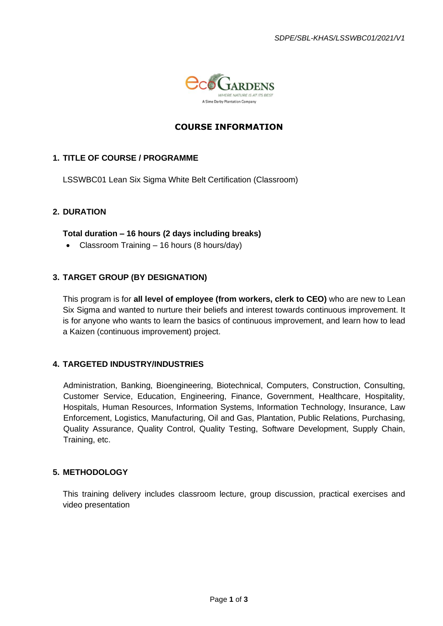

# **COURSE INFORMATION**

# **1. TITLE OF COURSE / PROGRAMME**

LSSWBC01 Lean Six Sigma White Belt Certification (Classroom)

# **2. DURATION**

#### **Total duration – 16 hours (2 days including breaks)**

• Classroom Training – 16 hours (8 hours/day)

### **3. TARGET GROUP (BY DESIGNATION)**

This program is for **all level of employee (from workers, clerk to CEO)** who are new to Lean Six Sigma and wanted to nurture their beliefs and interest towards continuous improvement. It is for anyone who wants to learn the basics of continuous improvement, and learn how to lead a Kaizen (continuous improvement) project.

### **4. TARGETED INDUSTRY/INDUSTRIES**

Administration, Banking, Bioengineering, Biotechnical, Computers, Construction, Consulting, Customer Service, Education, Engineering, Finance, Government, Healthcare, Hospitality, Hospitals, Human Resources, Information Systems, Information Technology, Insurance, Law Enforcement, Logistics, Manufacturing, Oil and Gas, Plantation, Public Relations, Purchasing, Quality Assurance, Quality Control, Quality Testing, Software Development, Supply Chain, Training, etc.

#### **5. METHODOLOGY**

This training delivery includes classroom lecture, group discussion, practical exercises and video presentation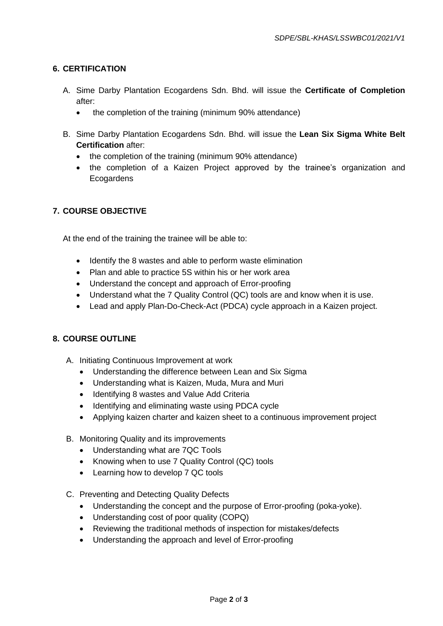# **6. CERTIFICATION**

- A. Sime Darby Plantation Ecogardens Sdn. Bhd. will issue the **Certificate of Completion** after:
	- the completion of the training (minimum 90% attendance)
- B. Sime Darby Plantation Ecogardens Sdn. Bhd. will issue the **Lean Six Sigma White Belt Certification** after:
	- the completion of the training (minimum 90% attendance)
	- the completion of a Kaizen Project approved by the trainee's organization and **Ecogardens**

# **7. COURSE OBJECTIVE**

At the end of the training the trainee will be able to:

- Identify the 8 wastes and able to perform waste elimination
- Plan and able to practice 5S within his or her work area
- Understand the concept and approach of Error-proofing
- Understand what the 7 Quality Control (QC) tools are and know when it is use.
- Lead and apply Plan-Do-Check-Act (PDCA) cycle approach in a Kaizen project.

### **8. COURSE OUTLINE**

- A. Initiating Continuous Improvement at work
	- Understanding the difference between Lean and Six Sigma
	- Understanding what is Kaizen, Muda, Mura and Muri
	- Identifying 8 wastes and Value Add Criteria
	- Identifying and eliminating waste using PDCA cycle
	- Applying kaizen charter and kaizen sheet to a continuous improvement project
- B. Monitoring Quality and its improvements
	- Understanding what are 7QC Tools
	- Knowing when to use 7 Quality Control (QC) tools
	- Learning how to develop 7 QC tools
- C. Preventing and Detecting Quality Defects
	- Understanding the concept and the purpose of Error-proofing (poka-yoke).
	- Understanding cost of poor quality (COPQ)
	- Reviewing the traditional methods of inspection for mistakes/defects
	- Understanding the approach and level of Error-proofing